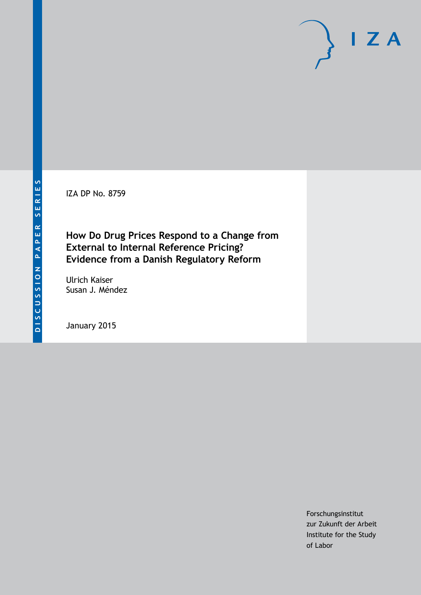IZA DP No. 8759

# **How Do Drug Prices Respond to a Change from External to Internal Reference Pricing? Evidence from a Danish Regulatory Reform**

Ulrich Kaiser Susan J. Méndez

January 2015

Forschungsinstitut zur Zukunft der Arbeit Institute for the Study of Labor

 $I Z A$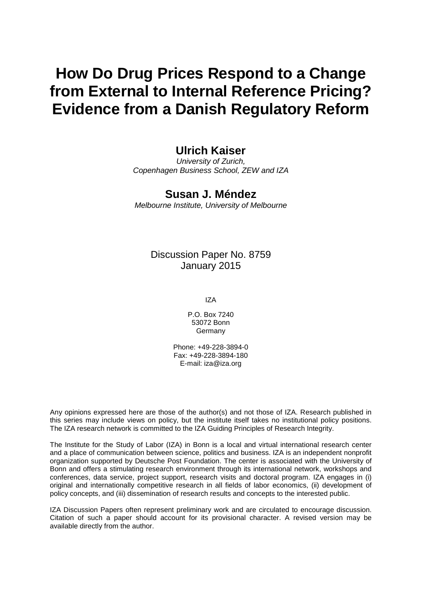# **How Do Drug Prices Respond to a Change from External to Internal Reference Pricing? Evidence from a Danish Regulatory Reform**

### **Ulrich Kaiser**

*University of Zurich, Copenhagen Business School, ZEW and IZA*

## **Susan J. Méndez**

*Melbourne Institute, University of Melbourne*

#### Discussion Paper No. 8759 January 2015

IZA

P.O. Box 7240 53072 Bonn Germany

Phone: +49-228-3894-0 Fax: +49-228-3894-180 E-mail: [iza@iza.org](mailto:iza@iza.org)

Any opinions expressed here are those of the author(s) and not those of IZA. Research published in this series may include views on policy, but the institute itself takes no institutional policy positions. The IZA research network is committed to the IZA Guiding Principles of Research Integrity.

The Institute for the Study of Labor (IZA) in Bonn is a local and virtual international research center and a place of communication between science, politics and business. IZA is an independent nonprofit organization supported by Deutsche Post Foundation. The center is associated with the University of Bonn and offers a stimulating research environment through its international network, workshops and conferences, data service, project support, research visits and doctoral program. IZA engages in (i) original and internationally competitive research in all fields of labor economics, (ii) development of policy concepts, and (iii) dissemination of research results and concepts to the interested public.

<span id="page-1-0"></span>IZA Discussion Papers often represent preliminary work and are circulated to encourage discussion. Citation of such a paper should account for its provisional character. A revised version may be available directly from the author.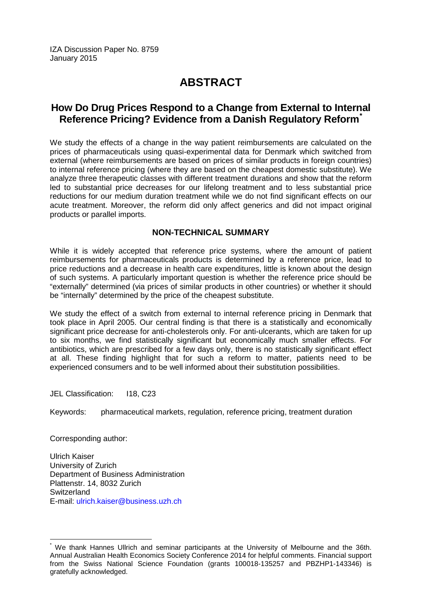IZA Discussion Paper No. 8759 January 2015

# **ABSTRACT**

### **How Do Drug Prices Respond to a Change from External to Internal Reference Pricing? Evidence from a Danish Regulatory Reform[\\*](#page-1-0)**

We study the effects of a change in the way patient reimbursements are calculated on the prices of pharmaceuticals using quasi-experimental data for Denmark which switched from external (where reimbursements are based on prices of similar products in foreign countries) to internal reference pricing (where they are based on the cheapest domestic substitute). We analyze three therapeutic classes with different treatment durations and show that the reform led to substantial price decreases for our lifelong treatment and to less substantial price reductions for our medium duration treatment while we do not find significant effects on our acute treatment. Moreover, the reform did only affect generics and did not impact original products or parallel imports.

#### **NON-TECHNICAL SUMMARY**

While it is widely accepted that reference price systems, where the amount of patient reimbursements for pharmaceuticals products is determined by a reference price, lead to price reductions and a decrease in health care expenditures, little is known about the design of such systems. A particularly important question is whether the reference price should be "externally" determined (via prices of similar products in other countries) or whether it should be "internally" determined by the price of the cheapest substitute.

We study the effect of a switch from external to internal reference pricing in Denmark that took place in April 2005. Our central finding is that there is a statistically and economically significant price decrease for anti-cholesterols only. For anti-ulcerants, which are taken for up to six months, we find statistically significant but economically much smaller effects. For antibiotics, which are prescribed for a few days only, there is no statistically significant effect at all. These finding highlight that for such a reform to matter, patients need to be experienced consumers and to be well informed about their substitution possibilities.

JEL Classification: I18, C23

Keywords: pharmaceutical markets, regulation, reference pricing, treatment duration

Corresponding author:

Ulrich Kaiser University of Zurich Department of Business Administration Plattenstr. 14, 8032 Zurich **Switzerland** E-mail: [ulrich.kaiser@business.uzh.ch](mailto:ulrich.kaiser@business.uzh.ch)

We thank Hannes Ullrich and seminar participants at the University of Melbourne and the 36th. Annual Australian Health Economics Society Conference 2014 for helpful comments. Financial support from the Swiss National Science Foundation (grants 100018-135257 and PBZHP1-143346) is gratefully acknowledged.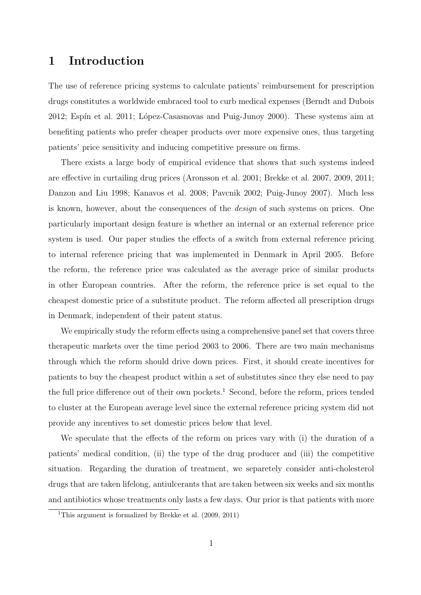# 1 Introduction

The use of reference pricing systems to calculate patients' reimbursement for prescription drugs constitutes a worldwide embraced tool to curb medical expenses (Berndt and Dubois 2012; Espín et al. 2011; López-Casasnovas and Puig-Junoy 2000). These systems aim at benefiting patients who prefer cheaper products over more expensive ones, thus targeting patients' price sensitivity and inducing competitive pressure on firms.

There exists a large body of empirical evidence that shows that such systems indeed are effective in curtailing drug prices (Aronsson et al. 2001; Brekke et al. 2007, 2009, 2011; Danzon and Liu 1998; Kanavos et al. 2008; Pavcnik 2002; Puig-Junoy 2007). Much less is known, however, about the consequences of the design of such systems on prices. One particularly important design feature is whether an internal or an external reference price system is used. Our paper studies the effects of a switch from external reference pricing to internal reference pricing that was implemented in Denmark in April 2005. Before the reform, the reference price was calculated as the average price of similar products in other European countries. After the reform, the reference price is set equal to the cheapest domestic price of a substitute product. The reform affected all prescription drugs in Denmark, independent of their patent status.

We empirically study the reform effects using a comprehensive panel set that covers three therapeutic markets over the time period 2003 to 2006. There are two main mechanisms through which the reform should drive down prices. First, it should create incentives for patients to buy the cheapest product within a set of substitutes since they else need to pay the full price difference out of their own pockets.<sup>1</sup> Second, before the reform, prices tended to cluster at the European average level since the external reference pricing system did not provide any incentives to set domestic prices below that level.

We speculate that the effects of the reform on prices vary with (i) the duration of a patients' medical condition, (ii) the type of the drug producer and (iii) the competitive situation. Regarding the duration of treatment, we separetely consider anti-cholesterol drugs that are taken lifelong, antiulcerants that are taken between six weeks and six months and antibiotics whose treatments only lasts a few days. Our prior is that patients with more

<sup>&</sup>lt;sup>1</sup>This argument is formalized by Brekke et al.  $(2009, 2011)$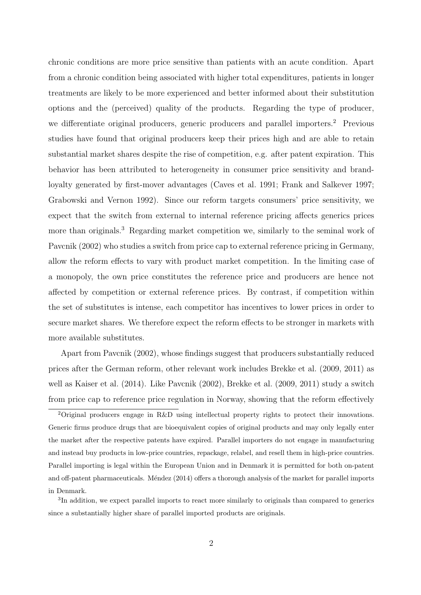chronic conditions are more price sensitive than patients with an acute condition. Apart from a chronic condition being associated with higher total expenditures, patients in longer treatments are likely to be more experienced and better informed about their substitution options and the (perceived) quality of the products. Regarding the type of producer, we differentiate original producers, generic producers and parallel importers.<sup>2</sup> Previous studies have found that original producers keep their prices high and are able to retain substantial market shares despite the rise of competition, e.g. after patent expiration. This behavior has been attributed to heterogeneity in consumer price sensitivity and brandloyalty generated by first-mover advantages (Caves et al. 1991; Frank and Salkever 1997; Grabowski and Vernon 1992). Since our reform targets consumers' price sensitivity, we expect that the switch from external to internal reference pricing affects generics prices more than originals.<sup>3</sup> Regarding market competition we, similarly to the seminal work of Pavcnik (2002) who studies a switch from price cap to external reference pricing in Germany, allow the reform effects to vary with product market competition. In the limiting case of a monopoly, the own price constitutes the reference price and producers are hence not affected by competition or external reference prices. By contrast, if competition within the set of substitutes is intense, each competitor has incentives to lower prices in order to secure market shares. We therefore expect the reform effects to be stronger in markets with more available substitutes.

Apart from Pavcnik (2002), whose findings suggest that producers substantially reduced prices after the German reform, other relevant work includes Brekke et al. (2009, 2011) as well as Kaiser et al. (2014). Like Pavcnik (2002), Brekke et al. (2009, 2011) study a switch from price cap to reference price regulation in Norway, showing that the reform effectively

<sup>2</sup>Original producers engage in R&D using intellectual property rights to protect their innovations. Generic firms produce drugs that are bioequivalent copies of original products and may only legally enter the market after the respective patents have expired. Parallel importers do not engage in manufacturing and instead buy products in low-price countries, repackage, relabel, and resell them in high-price countries. Parallel importing is legal within the European Union and in Denmark it is permitted for both on-patent and off-patent pharmaceuticals. Méndez (2014) offers a thorough analysis of the market for parallel imports in Denmark.

<sup>&</sup>lt;sup>3</sup>In addition, we expect parallel imports to react more similarly to originals than compared to generics since a substantially higher share of parallel imported products are originals.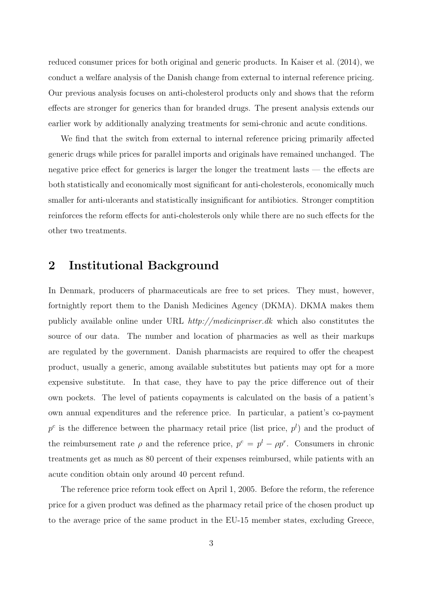reduced consumer prices for both original and generic products. In Kaiser et al. (2014), we conduct a welfare analysis of the Danish change from external to internal reference pricing. Our previous analysis focuses on anti-cholesterol products only and shows that the reform effects are stronger for generics than for branded drugs. The present analysis extends our earlier work by additionally analyzing treatments for semi-chronic and acute conditions.

We find that the switch from external to internal reference pricing primarily affected generic drugs while prices for parallel imports and originals have remained unchanged. The negative price effect for generics is larger the longer the treatment lasts — the effects are both statistically and economically most significant for anti-cholesterols, economically much smaller for anti-ulcerants and statistically insignificant for antibiotics. Stronger comptition reinforces the reform effects for anti-cholesterols only while there are no such effects for the other two treatments.

### 2 Institutional Background

In Denmark, producers of pharmaceuticals are free to set prices. They must, however, fortnightly report them to the Danish Medicines Agency (DKMA). DKMA makes them publicly available online under URL http://medicinpriser.dk which also constitutes the source of our data. The number and location of pharmacies as well as their markups are regulated by the government. Danish pharmacists are required to offer the cheapest product, usually a generic, among available substitutes but patients may opt for a more expensive substitute. In that case, they have to pay the price difference out of their own pockets. The level of patients copayments is calculated on the basis of a patient's own annual expenditures and the reference price. In particular, a patient's co-payment  $p^c$  is the difference between the pharmacy retail price (list price,  $p^l$ ) and the product of the reimbursement rate  $\rho$  and the reference price,  $p^c = p^l - \rho p^r$ . Consumers in chronic treatments get as much as 80 percent of their expenses reimbursed, while patients with an acute condition obtain only around 40 percent refund.

The reference price reform took effect on April 1, 2005. Before the reform, the reference price for a given product was defined as the pharmacy retail price of the chosen product up to the average price of the same product in the EU-15 member states, excluding Greece,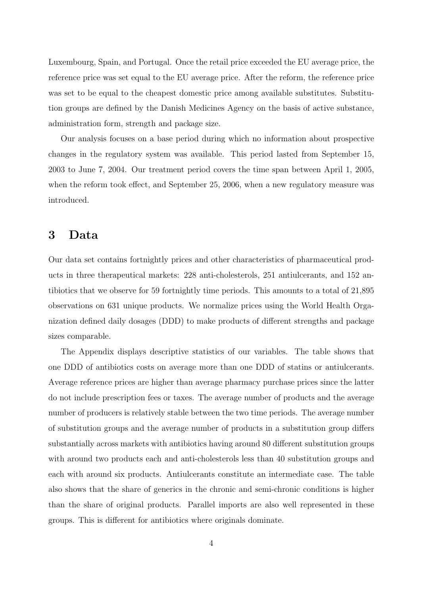Luxembourg, Spain, and Portugal. Once the retail price exceeded the EU average price, the reference price was set equal to the EU average price. After the reform, the reference price was set to be equal to the cheapest domestic price among available substitutes. Substitution groups are defined by the Danish Medicines Agency on the basis of active substance, administration form, strength and package size.

Our analysis focuses on a base period during which no information about prospective changes in the regulatory system was available. This period lasted from September 15, 2003 to June 7, 2004. Our treatment period covers the time span between April 1, 2005, when the reform took effect, and September 25, 2006, when a new regulatory measure was introduced.

#### 3 Data

Our data set contains fortnightly prices and other characteristics of pharmaceutical products in three therapeutical markets: 228 anti-cholesterols, 251 antiulcerants, and 152 antibiotics that we observe for 59 fortnightly time periods. This amounts to a total of 21,895 observations on 631 unique products. We normalize prices using the World Health Organization defined daily dosages (DDD) to make products of different strengths and package sizes comparable.

The Appendix displays descriptive statistics of our variables. The table shows that one DDD of antibiotics costs on average more than one DDD of statins or antiulcerants. Average reference prices are higher than average pharmacy purchase prices since the latter do not include prescription fees or taxes. The average number of products and the average number of producers is relatively stable between the two time periods. The average number of substitution groups and the average number of products in a substitution group differs substantially across markets with antibiotics having around 80 different substitution groups with around two products each and anti-cholesterols less than 40 substitution groups and each with around six products. Antiulcerants constitute an intermediate case. The table also shows that the share of generics in the chronic and semi-chronic conditions is higher than the share of original products. Parallel imports are also well represented in these groups. This is different for antibiotics where originals dominate.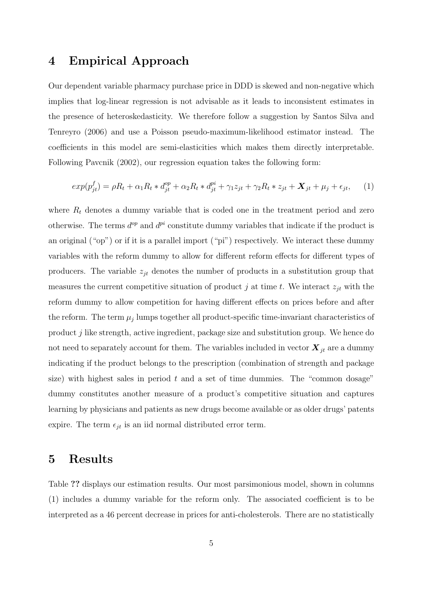## 4 Empirical Approach

Our dependent variable pharmacy purchase price in DDD is skewed and non-negative which implies that log-linear regression is not advisable as it leads to inconsistent estimates in the presence of heteroskedasticity. We therefore follow a suggestion by Santos Silva and Tenreyro (2006) and use a Poisson pseudo-maximum-likelihood estimator instead. The coefficients in this model are semi-elasticities which makes them directly interpretable. Following Pavcnik (2002), our regression equation takes the following form:

$$
exp(p_{jt}^f) = \rho R_t + \alpha_1 R_t * d_{jt}^{op} + \alpha_2 R_t * d_{jt}^{pi} + \gamma_1 z_{jt} + \gamma_2 R_t * z_{jt} + \mathbf{X}_{jt} + \mu_j + \epsilon_{jt}, \quad (1)
$$

where  $R_t$  denotes a dummy variable that is coded one in the treatment period and zero otherwise. The terms  $d^{op}$  and  $d^{pi}$  constitute dummy variables that indicate if the product is an original ("op") or if it is a parallel import ("pi") respectively. We interact these dummy variables with the reform dummy to allow for different reform effects for different types of producers. The variable  $z_{jt}$  denotes the number of products in a substitution group that measures the current competitive situation of product j at time t. We interact  $z_{jt}$  with the reform dummy to allow competition for having different effects on prices before and after the reform. The term  $\mu_j$  lumps together all product-specific time-invariant characteristics of product j like strength, active ingredient, package size and substitution group. We hence do not need to separately account for them. The variables included in vector  $\mathbf{X}_{jt}$  are a dummy indicating if the product belongs to the prescription (combination of strength and package size) with highest sales in period  $t$  and a set of time dummies. The "common dosage" dummy constitutes another measure of a product's competitive situation and captures learning by physicians and patients as new drugs become available or as older drugs' patents expire. The term  $\epsilon_{jt}$  is an iid normal distributed error term.

#### 5 Results

Table ?? displays our estimation results. Our most parsimonious model, shown in columns (1) includes a dummy variable for the reform only. The associated coefficient is to be interpreted as a 46 percent decrease in prices for anti-cholesterols. There are no statistically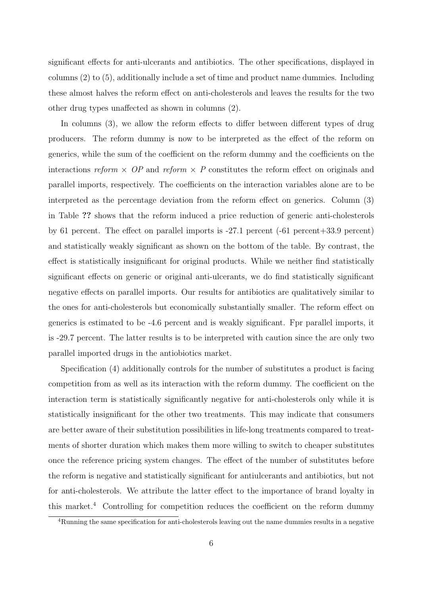significant effects for anti-ulcerants and antibiotics. The other specifications, displayed in columns (2) to (5), additionally include a set of time and product name dummies. Including these almost halves the reform effect on anti-cholesterols and leaves the results for the two other drug types unaffected as shown in columns (2).

In columns  $(3)$ , we allow the reform effects to differ between different types of drug producers. The reform dummy is now to be interpreted as the effect of the reform on generics, while the sum of the coefficient on the reform dummy and the coefficients on the interactions reform  $\times$  OP and reform  $\times$  P constitutes the reform effect on originals and parallel imports, respectively. The coefficients on the interaction variables alone are to be interpreted as the percentage deviation from the reform effect on generics. Column (3) in Table ?? shows that the reform induced a price reduction of generic anti-cholesterols by 61 percent. The effect on parallel imports is -27.1 percent (-61 percent+33.9 percent) and statistically weakly significant as shown on the bottom of the table. By contrast, the effect is statistically insignificant for original products. While we neither find statistically significant effects on generic or original anti-ulcerants, we do find statistically significant negative effects on parallel imports. Our results for antibiotics are qualitatively similar to the ones for anti-cholesterols but economically substantially smaller. The reform effect on generics is estimated to be -4.6 percent and is weakly significant. Fpr parallel imports, it is -29.7 percent. The latter results is to be interpreted with caution since the are only two parallel imported drugs in the antiobiotics market.

Specification (4) additionally controls for the number of substitutes a product is facing competition from as well as its interaction with the reform dummy. The coefficient on the interaction term is statistically significantly negative for anti-cholesterols only while it is statistically insignificant for the other two treatments. This may indicate that consumers are better aware of their substitution possibilities in life-long treatments compared to treatments of shorter duration which makes them more willing to switch to cheaper substitutes once the reference pricing system changes. The effect of the number of substitutes before the reform is negative and statistically significant for antiulcerants and antibiotics, but not for anti-cholesterols. We attribute the latter effect to the importance of brand loyalty in this market.<sup>4</sup> Controlling for competition reduces the coefficient on the reform dummy

<sup>4</sup>Running the same specification for anti-cholesterols leaving out the name dummies results in a negative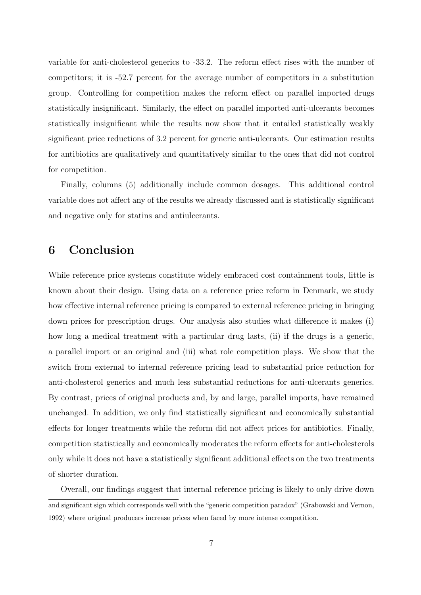variable for anti-cholesterol generics to -33.2. The reform effect rises with the number of competitors; it is -52.7 percent for the average number of competitors in a substitution group. Controlling for competition makes the reform effect on parallel imported drugs statistically insignificant. Similarly, the effect on parallel imported anti-ulcerants becomes statistically insignificant while the results now show that it entailed statistically weakly significant price reductions of 3.2 percent for generic anti-ulcerants. Our estimation results for antibiotics are qualitatively and quantitatively similar to the ones that did not control for competition.

Finally, columns (5) additionally include common dosages. This additional control variable does not affect any of the results we already discussed and is statistically significant and negative only for statins and antiulcerants.

## 6 Conclusion

While reference price systems constitute widely embraced cost containment tools, little is known about their design. Using data on a reference price reform in Denmark, we study how effective internal reference pricing is compared to external reference pricing in bringing down prices for prescription drugs. Our analysis also studies what difference it makes (i) how long a medical treatment with a particular drug lasts, (ii) if the drugs is a generic, a parallel import or an original and (iii) what role competition plays. We show that the switch from external to internal reference pricing lead to substantial price reduction for anti-cholesterol generics and much less substantial reductions for anti-ulcerants generics. By contrast, prices of original products and, by and large, parallel imports, have remained unchanged. In addition, we only find statistically significant and economically substantial effects for longer treatments while the reform did not affect prices for antibiotics. Finally, competition statistically and economically moderates the reform effects for anti-cholesterols only while it does not have a statistically significant additional effects on the two treatments of shorter duration.

Overall, our findings suggest that internal reference pricing is likely to only drive down and significant sign which corresponds well with the "generic competition paradox" (Grabowski and Vernon, 1992) where original producers increase prices when faced by more intense competition.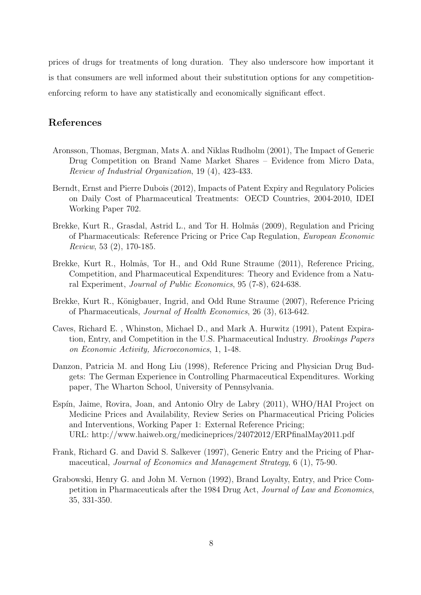prices of drugs for treatments of long duration. They also underscore how important it is that consumers are well informed about their substitution options for any competitionenforcing reform to have any statistically and economically significant effect.

#### References

- Aronsson, Thomas, Bergman, Mats A. and Niklas Rudholm (2001), The Impact of Generic Drug Competition on Brand Name Market Shares – Evidence from Micro Data, Review of Industrial Organization, 19 (4), 423-433.
- Berndt, Ernst and Pierre Dubois (2012), Impacts of Patent Expiry and Regulatory Policies on Daily Cost of Pharmaceutical Treatments: OECD Countries, 2004-2010, IDEI Working Paper 702.
- Brekke, Kurt R., Grasdal, Astrid L., and Tor H. Holmås (2009), Regulation and Pricing of Pharmaceuticals: Reference Pricing or Price Cap Regulation, European Economic Review, 53 (2), 170-185.
- Brekke, Kurt R., Holmås, Tor H., and Odd Rune Straume (2011), Reference Pricing, Competition, and Pharmaceutical Expenditures: Theory and Evidence from a Natural Experiment, Journal of Public Economics, 95 (7-8), 624-638.
- Brekke, Kurt R., Königbauer, Ingrid, and Odd Rune Straume (2007), Reference Pricing of Pharmaceuticals, Journal of Health Economics, 26 (3), 613-642.
- Caves, Richard E. , Whinston, Michael D., and Mark A. Hurwitz (1991), Patent Expiration, Entry, and Competition in the U.S. Pharmaceutical Industry. Brookings Papers on Economic Activity, Microeconomics, 1, 1-48.
- Danzon, Patricia M. and Hong Liu (1998), Reference Pricing and Physician Drug Budgets: The German Experience in Controlling Pharmaceutical Expenditures. Working paper, The Wharton School, University of Pennsylvania.
- Espín, Jaime, Rovira, Joan, and Antonio Olry de Labry (2011), WHO/HAI Project on Medicine Prices and Availability, Review Series on Pharmaceutical Pricing Policies and Interventions, Working Paper 1: External Reference Pricing; URL: http://www.haiweb.org/medicineprices/24072012/ERPfinalMay2011.pdf
- Frank, Richard G. and David S. Salkever (1997), Generic Entry and the Pricing of Pharmaceutical, Journal of Economics and Management Strategy, 6 (1), 75-90.
- Grabowski, Henry G. and John M. Vernon (1992), Brand Loyalty, Entry, and Price Competition in Pharmaceuticals after the 1984 Drug Act, Journal of Law and Economics, 35, 331-350.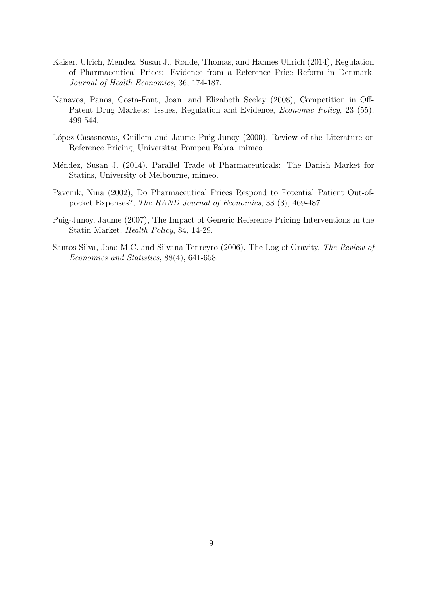- Kaiser, Ulrich, Mendez, Susan J., Rønde, Thomas, and Hannes Ullrich (2014), Regulation of Pharmaceutical Prices: Evidence from a Reference Price Reform in Denmark, Journal of Health Economics, 36, 174-187.
- Kanavos, Panos, Costa-Font, Joan, and Elizabeth Seeley (2008), Competition in Off-Patent Drug Markets: Issues, Regulation and Evidence, *Economic Policy*, 23 (55), 499-544.
- López-Casasnovas, Guillem and Jaume Puig-Junoy (2000), Review of the Literature on Reference Pricing, Universitat Pompeu Fabra, mimeo.
- Méndez, Susan J. (2014), Parallel Trade of Pharmaceuticals: The Danish Market for Statins, University of Melbourne, mimeo.
- Pavcnik, Nina (2002), Do Pharmaceutical Prices Respond to Potential Patient Out-ofpocket Expenses?, The RAND Journal of Economics, 33 (3), 469-487.
- Puig-Junoy, Jaume (2007), The Impact of Generic Reference Pricing Interventions in the Statin Market, Health Policy, 84, 14-29.
- Santos Silva, Joao M.C. and Silvana Tenreyro (2006), The Log of Gravity, The Review of Economics and Statistics, 88(4), 641-658.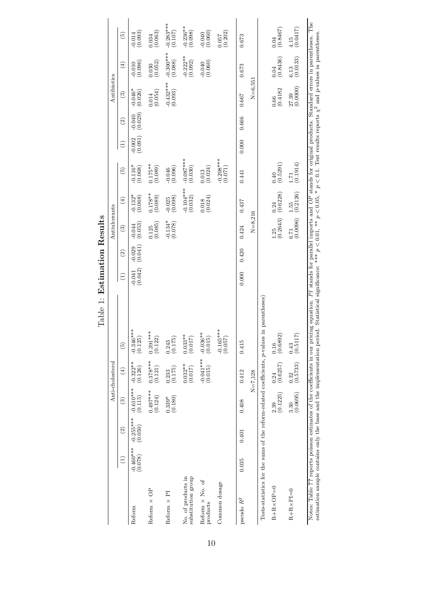|                                                                            |                        |                          |                        | Anti-cholesterol                                | Table 1: Estimation Results                                                                                                                                                                                                                                                                            |                                                |               | Antiulcerants                    |                                                 |                                                                                                                     |                         |                    | Antibiotics            |                                                 |                                                 |
|----------------------------------------------------------------------------|------------------------|--------------------------|------------------------|-------------------------------------------------|--------------------------------------------------------------------------------------------------------------------------------------------------------------------------------------------------------------------------------------------------------------------------------------------------------|------------------------------------------------|---------------|----------------------------------|-------------------------------------------------|---------------------------------------------------------------------------------------------------------------------|-------------------------|--------------------|------------------------|-------------------------------------------------|-------------------------------------------------|
|                                                                            | $\widehat{\Xi}$        | $\widehat{\mathfrak{D}}$ | $\widehat{\mathbb{C}}$ | $\left( 4\right)$                               | $\widehat{5}$                                                                                                                                                                                                                                                                                          | $\left( \begin{matrix} 1 \end{matrix} \right)$ | $\widehat{c}$ | $\mathfrak{S}$                   | $\left( \pm \right)$                            | $\widehat{5}$                                                                                                       | $\left( \exists\right)$ | $\widehat{\Omega}$ | $\widehat{\mathbf{e}}$ | $\left( 4\right)$                               | $\widehat{5}$                                   |
| Reform                                                                     | $-0.460***$<br>(0.078) | $-0.255***$<br>(0.050)   | $-0.610***$<br>(0.115) | $-0.322**$<br>(0.126)                           | $-0.346***$<br>(0.125)                                                                                                                                                                                                                                                                                 | $-0.041$<br>$(0.042)$                          | (0.029)       | $\frac{0.044}{(0.053)}$          | $-0.132$ <sup>*</sup><br>(0.068)                | $-0.116*$<br>(0.068)                                                                                                | (0.002)                 | (0.040)            | $-0.046*$<br>(0.026)   | (0.010)                                         | $\frac{0.014}{(0.093)}$                         |
| Reform $\times$ OP                                                         |                        |                          | $0.497***$<br>(0.124)  | $0.378***$<br>(0.121)                           | $0.391***$<br>(0.122)                                                                                                                                                                                                                                                                                  |                                                |               | (0.085)<br>0.125                 | $0.178**$<br>(0.089)                            | $0.175***$<br>(0.089)                                                                                               |                         |                    | (0.054)<br>0.014       | (0.052)<br>0.030                                | $\begin{array}{c} 0.034 \\ (0.063) \end{array}$ |
| Reform $\times$ PI                                                         |                        |                          | $^{0.339*}_{(0.180)}$  | $\begin{array}{c} 0.233 \\ (0.175) \end{array}$ | (0.175)<br>0.243                                                                                                                                                                                                                                                                                       |                                                |               | $\frac{0.134*}{(0.078)}$         | $-0.025$<br>$(0.098)$                           | $-0.046$<br>$(0.096)$                                                                                               |                         |                    | $-0.432***$<br>(0.093) | $-0.300***$<br>(0.088)                          | $-0.283***$                                     |
| No. of products in<br>substitution group                                   |                        |                          |                        | $0.032***$<br>(0.017)                           | $0.033**$<br>(0.017)                                                                                                                                                                                                                                                                                   |                                                |               |                                  | $-0.104***$<br>(0.032)                          | $-0.087***$<br>(0.030)                                                                                              |                         |                    |                        | $-0.222**$<br>(0.092)                           | $-0.236***$<br>(0.098)                          |
| Reform $\times$ No. of<br>products                                         |                        |                          |                        | $-0.041***$<br>(0.015)                          | $-0.036**$<br>(0.015)                                                                                                                                                                                                                                                                                  |                                                |               |                                  | $\begin{array}{c} 0.018 \\ (0.024) \end{array}$ | $\begin{array}{c} 0.013 \\ (0.024) \end{array}$                                                                     |                         |                    |                        | $-0.040$<br>$(0.060)$                           | (0.040)                                         |
| Common dosage                                                              |                        |                          |                        |                                                 | $-0.165***$<br>(0.057)                                                                                                                                                                                                                                                                                 |                                                |               |                                  |                                                 | $-0.208***$<br>(0.071)                                                                                              |                         |                    |                        |                                                 | $\begin{array}{c} 0.057 \\ (0.202) \end{array}$ |
| pseudo $\mathbb{R}^2$                                                      | 0.035                  | 0.401                    | 0.408                  | 0.412                                           | 0.415                                                                                                                                                                                                                                                                                                  | 0.000                                          | 0.420         | 0.424                            | 0.437                                           | 0.441                                                                                                               | 0.000                   | 0.666              | 0.667                  | 0.673                                           | 0.673                                           |
|                                                                            |                        |                          |                        | $N = 7,128$                                     |                                                                                                                                                                                                                                                                                                        |                                                |               | $N = 8,216$                      |                                                 |                                                                                                                     |                         |                    | $N = 6,551$            |                                                 |                                                 |
| Tests-statistics for the sums of the reform-related coefficients, p-values |                        |                          |                        |                                                 | in parentheses                                                                                                                                                                                                                                                                                         |                                                |               |                                  |                                                 |                                                                                                                     |                         |                    |                        |                                                 |                                                 |
| $R+R \times OP = 0$                                                        |                        |                          | (0.1225)<br>2.39       | $\frac{0.24}{(0.6257)}$                         | $\begin{array}{c} 0.16 \ (0.6892) \end{array}$                                                                                                                                                                                                                                                         |                                                |               | $1.25$ 0.24<br>(0.2643) (0.6228) |                                                 | (0.5291)                                                                                                            |                         |                    | (0.4182)<br>0.66       | $\begin{array}{c} 0.04 \\ (0.8436) \end{array}$ | $\begin{array}{c} 0.04 \\ (0.8467) \end{array}$ |
| $R+R\times PI=0$                                                           |                        |                          | (0.0695)<br>3.30       | $\begin{array}{c} 0.32 \\ (0.5733) \end{array}$ | $\begin{array}{c} 0.43 \\ (0.5117) \end{array}$                                                                                                                                                                                                                                                        |                                                |               | (0.0096)<br>6.71                 | $\frac{1.55}{(0.2126)}$                         | $\frac{1.71}{(0.1914)}$                                                                                             |                         |                    | $27.39$<br>$(0.0000)$  | $\begin{array}{c} 6.13 \\ (0.0133) \end{array}$ | $^{4.15}_{(0.0417)}$                            |
|                                                                            |                        |                          |                        |                                                 | estimation sample contains only the base and the implementation period. Statistical significance: **** $p < 0.01$ , *** $p < 0.05$ , * $p < 0.1$ . Test results reports $\chi^2$ and p-values in parentheses<br>Notes: Table ?? reports poisson estimates of the coefficients in our pricing equation. |                                                |               |                                  |                                                 | $\cal{PI}$ stands for parallel imports and $\cal{OP}$ stands for original products. Standard errors in parentheses. |                         |                    |                        |                                                 | The                                             |